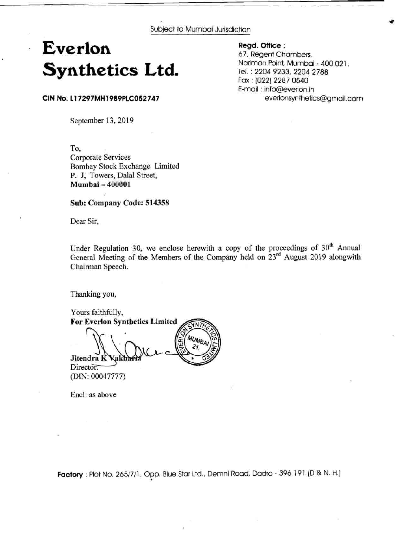Subject to Mumbai Jurisdiction

# **Everlon Synthetics Ltd.**

**Regd. Office** :

67, Regent Chambers, Nariman Point, Mumbai - 400 021 . Tel. : 2204 9233, 2204 2788 Fax : (022) 2287 0540 E-mail : info@everlon.in everlonsynthetics@gmaiI.com

**CIN No. 11 7297MH 1989PLC052747** 

ł

September 13, 2019

To, Corporate Services Bombay Stock Exchange Limited P. J, Towers, Dalal Street, **Mumbai** - **<sup>400001</sup>**

**Sub: Company Code: 514358** 

Dear Sir,

Under Regulation 30, we enclose herewith a copy of the proceedings of  $30<sup>th</sup>$  Annual General Meeting of the Members of the Company held on 23<sup>rd</sup> August 2019 alongwith Chairman Speech.

Thanking you,

Yours faithfully, **For Everlon Synthetics Limited**  Jitendra K **Vakha** 

Director. (DIN: 00047777)

Encl: as above

**Factory** : Plot No. 2651711, Opp. Blue Star Ltd., Demni Road, Dadra - 396 191 (D & N. **ti.]** .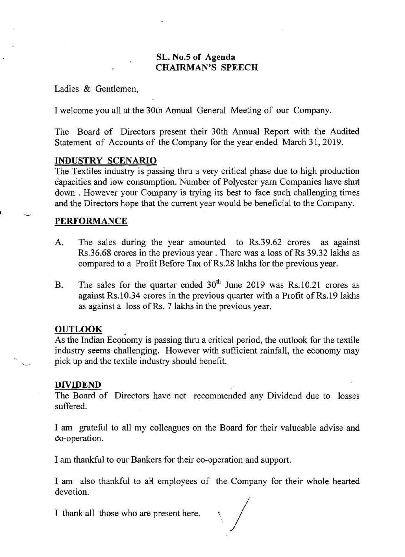# **SL. No.5 of Agenda CHAIRMAN'S SPEECH**

Ladies & Gentlemen,

I welcome you all at the 30th Annual General Meeting of our Company.

The Board of Directors present their 30th Annual Report with the Audited Statement of Accounts of the Company for the year ended March 31, 2019.

## **INDUSTRY SCENARIO**

The Textiles industry is passing thru a very critical phase due to high production capacities and low consumption. Number of Polyester yarn Companies have shut down . However your Company is trying its best to face such challenging times and the Directors hope that the current year would be beneficial to the Company.

## **PERFORMANCE**

 $\frac{1}{2}$ 

- **A.** The sales during the year amounted to Rs.39.62 crores as against Rs.36.68 crores in the previous year. There was a loss of Rs 39.32 lakhs as compared to a Profit Before Tax of Rs.28 lakhs for the previous year.
- B. The sales for the quarter ended 30<sup>th</sup> June 2019 was Rs.10.21 crores as against Rs.10.34 crores in the previous quarter with a Profit of Rs.19 lakhs as against a loss of Rs. 7 lakhs in the previous year.

## **OUTLOOK**

As the Indian Economy is passing thru a critical period, the outlook for the textile industry seems challenging. However with sufficient rainfall, the economy may pick up and the textile industry should benefit. pick up and the textile industry should benefit.

## **DIVIDEND**

The Board of Directors have not recommended any Dividend due to losses suffered.

I am grateful to all my colleagues on the Board for their valueable advise and Co-operation.

I am thankful to our Bankers for their co-operation and support.

I am also thankful to all employees of the Company for their whole hearted devotion.<br>
I thank all those who are present here. devotion.

I thank all those who are present here.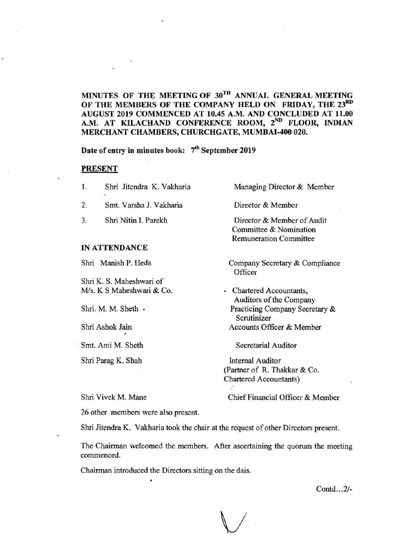## MINUTES OF THE MEETING OF 30TH ANNUAL GENERAL MEETING OF THE MEMBERS OF THE COMPANY HELD ON FRIDAY, THE 23RD AUGUST 2019 COMMENCED AT 10.45 A.M. AND CONCLUDED AT 11.00 A.M. AT KILACHAND CONFERENCE ROOM, 2<sup>ND</sup> FLOOR, INDIAN MERCHANT CHAMBERS, CHURCHGATE, MUMBAI-400 020.

Date of entry in minutes book: *7tb* September 2019

#### PRESENT

| 1.   | Shri Jitendra K. Vakharia<br>$\rightarrow$ | Managing Director & Member                                                            |
|------|--------------------------------------------|---------------------------------------------------------------------------------------|
| 2.   | Smt. Varsha J. Vakharia                    | Director & Member                                                                     |
| 3.   | Shri Nitin I. Parekh                       | Director & Member of Audit<br>Committee & Nomination<br><b>Remuneration Committee</b> |
|      | <b>IN ATTENDANCE</b>                       |                                                                                       |
| Shri | Manish P. Heda                             | Company Secretary & Compliance<br>Officer                                             |
|      | Shri K. S. Maheshwari of                   |                                                                                       |
|      | M/s, K S Maheshwari & Co.                  | Chartered Accountants,<br>Auditors of the Company                                     |

Shri. M. M. Sheth -

Shri Ashok Jain

Smt. Ami M. Sheth Secretarial Auditor

**I** 

Shri Parag K. Shah Internal Auditor

Accounts Officer & Member

Practicing Company Secretary &

Scrutinizer

(Partner of R. Thakkar & Co. Chartered Accountants) بخارد

Shri Vivek M. Mane Chief Financial Officer & Member

26 other members were also present.

Shri Jitendra K. Vakharia took the chair at the request of other Directors present.

The Chairman welcomed the members. After ascertaining the quorum the meeting commenced.

Chairman introduced the Directors sitting on the dais. .

Contd.. .2/-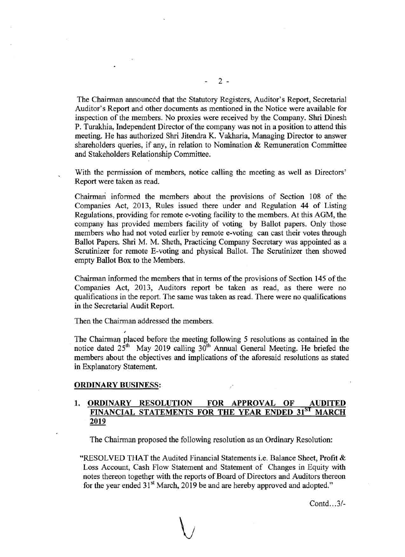The Chairman announced that the Statutory Registers, Auditor's Report, Secretarial Auditor's Report and other documents as mentioned in the Notice were available for inspection of the members. No proxies were received by the Company. Shri Dinesh P. Turakhia, Independent Director of the company was not in a position to attend this meeting. He has authorized Shri Jitendra K. Vakharia, Managing Director to answer shareholders queries, if any, in relation to Nomination & Remuneration Committee and Stakeholders Relationship Committee.

With the permission of members, notice calling the meeting as well as Directors' Report were taken as read.

Chairman informed the members about the provisions of Section 108 of the Companies Act, 2013, Rules issued there under and Regulation 44 of Listing Regulations, providing for remote e-voting facility to the members. At this AGM, the company has provided members facility of voting by Ballot papers. Only those members who had not voted earlier by remote e-voting can cast their votes through Ballot Papers. Shri M. M. Sheth, Practicing Company Secretary was appointed as a Scrutinizer for remote E-voting and physical Ballot. The Scrutinizer then showed empty Ballot Box to the Members.

Chairman informed the members that in terms of the provisions of Section 145 of the Companies Act, 2013, Auditors report be taken as read, as there were no qualifications in the report. The same was taken as read. There were no qualifications in the Secretarial Audit Report.

Then the Chairman addressed the members.

The Chairman placed before the meeting following 5 resolutions as contained in the notice dated 25" May 2019 calling 30" Annual General Meeting. He briefed the members about the objectives and implications of the aforesaid resolutions as stated in Explanatory Statement.

#### **ORDINARY BUSINESS:**

#

## 1. ORDINARY RESOLUTION FOR APPROVAL OF **FINANCIAL STATEMENTS FOR THE YEAR ENDED 31ST MARCH 2019**

The Chairman proposed the following resolution as an Ordinary Resolution:

"RESOLVED THAT the Audited Financial Statements i.e. Balance Sheet, Profit & Loss Account, Cash Flow Statement and Statement of Changes in Equity with notes thereon together with the reports of Board of Directors and Auditors thereon for the year ended 31<sup>st</sup> March, 2019 be and are hereby approved and adopted."

Contd...3/-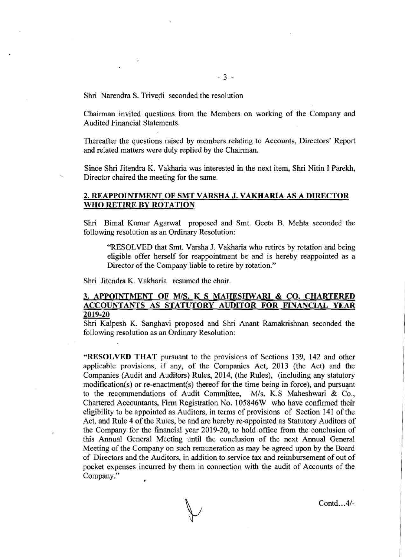Shri Narendra S. Trivedi seconded the resolution

Chairman invited questions from the Members on working of the Company and Audited Financial Statements.

Thereafter the questions raised by members relating to Accounts, Directors' Report and related matters were duly replied by the Chairman.

Since Shri Jitendra K. Vakharia was interested in the next item, Shri Nitin I Parekh, \ Director chaired the meeting for the same.

### **2. REAPPOINTMENT OF SMT VARSHA J. VAKHARIA AS A DIRECTOR WHO RETIRE BY ROTATION**

Shri Bimal Kumar Agarwal proposed and Smt. Geeta B. Mehta seconded the following resolution as an Ordinary Resolution:

"RESOLVED that Smt. Varsha J. Vakharia who retires by rotation and being eligible offer herself for reappointment be and is hereby reappointed as a Director of the Company liable to retire by rotation."

Shri Jitendra K. Vakharia resumed the chair.

## **3. APPOINTMENT OF** *MIS.* **K S MAHESHWARI** & **CO. CHARTERED ACCOUNTANTS AS STATUTORY AUDITOR FOR FINANCIAL YEAR 2019-20**

Shri Kalpesh K. Sanghavi proposed and Shri Anant Ramakrishnan seconded the following resolution as an Ordinary Resolution:

**"RESOLVED THAT** pursuant to the provisions of Sections 139, 142 and other applicable provisions, if any, of the Companies Act, 2013 (the Act) and the Companies (Audit and Auditors) Rules, 2014, (the Rules), (including any statutory  $modification(s)$  or re-enactment(s) thereof for the time being in force), and pursuant to the recommendations of Audit Committee,  $M/s$ . K.S Maheshwari & Co., Chartered Accountants, Firm Registration No. 105846W who have confirmed their eligibility to be appointed as Auditors, in terms of provisions of Section 141 of the Act, and Rule 4 of the Rules, be and are hereby re-appointed as Statutory Auditors of the Company for the financial year 2019-20, to hold office from the conclusion of this Annual General Meeting until the conclusion of the next Annual General Meeting of the Company on such remuneration as may be agreed upon by the Board of Directors and the Auditors, in addition to service tax and reimbursement of out of pocket expenses incurred by them in connection with the audit of Accounts of the Company."

Contd.. .4/-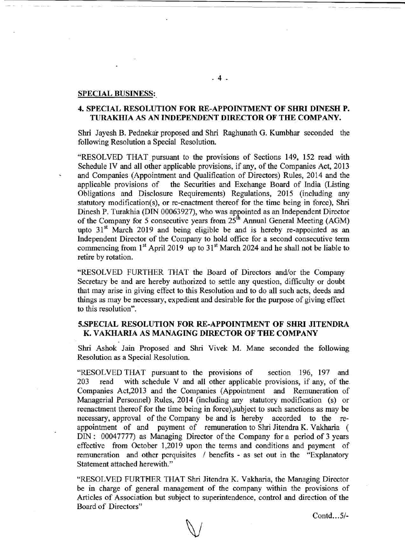#### **SPECIAL BUSINESS:.**

## **4. SPECIAL RESOLUTION FOR RE-APPOINTMENT OF SHRI DINESH P. TURAKHIA AS AN INDEPENDENT DIRECTOR OF THE COMPANY.**

Shri Jayesh B. Pednekar proposed and Shri Raghunath G. Kumbhar seconded the following Resolution a Special Resolution.

"RESOLVED THAT pursuant to the provisions of Sections 149, 152 read with Schedule IV and all other applicable provisions, if any, of the Companies Act, 2013 and Companies (Appointment and Qualification of Directors) Rules, 2014 and the applicable provisions of the Securities and Exchange Board of India (Listing Obligations and Disclosure Requirements) Regulations, 2015 (including any statutory modification(s), or re-enactment thereof for the time being in force), Shri Dinesh P. Turakhia (DIN 00063927), who was appointed as an Independent Director of the Company for 5 consecutive years from  $25<sup>th</sup>$  Annual General Meeting (AGM) upto  $31<sup>st</sup>$  March 2019 and being eligible be and is hereby re-appointed as an Independent Director of the Company to hold office for a second consecutive term commencing from  $1<sup>st</sup>$  April 2019 up to  $31<sup>st</sup>$  March 2024 and he shall not be liable to retire by rotation.

"RESOLVED FURTHER THAT the Board of Directors and/or the Company Secretary be and are hereby authorized to settle any question, difficulty or doubt that may arise in giving effect to this Resolution and to do all such acts, deeds and things as may be necessary, expedient and desirable for the purpose of giving effect to this resolution".

## **5.SPECIAL RESOLUTION FOR RE-APPOINTMENT OF SHRI JITENDRA K. VAKHARIA AS MANAGING DIRECTOR OF THE COMPANY**

Shri Ashok Jain Proposed and Shri Vivek M. Mane seconded the following Resolution as a Special Resolution.

"RESOLVED THAT pursuant to the provisions of section 196, 197 and 203 read with schedule V and all other applicable provisions, if any, of the. Companies Act,2013 and the Companies (Appointment and Remuneration of Managerial Personnel) Rules, 2014 (including any statutory modification (s) or reenactment thereof for the time being in force),subject to such sanctions as may be necessary, approval of the Company be and is hereby accorded to the reappointment of and payment of remuneration to Shri Jitendra K. Vakharia ( DIN : 00047777) as Managing Director ofthe Company for a period of 3 years effective from October 1,2019 upon the terms and conditions and payment of remuneration and other perquisites / benefits - as set out in the "Explanatory Statement attached herewith."

"RESOLVED FURTHER THAT Shri Jitendra K. Vakharia, the Managing Director be in charge of general management of the company within the provisions of Articles of Association but subject to superintendence, control and direction of the Board of Directors"

Contd.. .5/-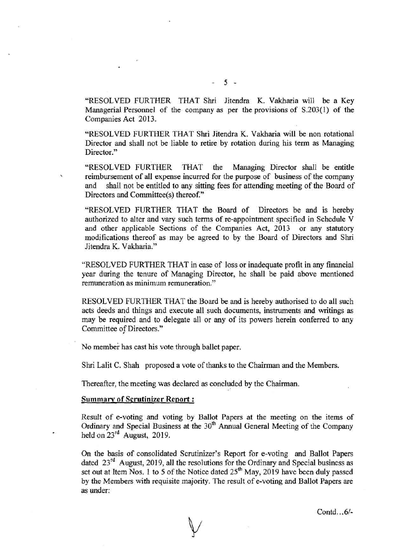"RESOLVED FURTHER THAT Shri Jitendra K. Vakharia will be a Key Managerial Personnel of the company as per the provisions of S.203(1) of the Companies Act 2013.

"RESOLVED FURTHER THAT Shri Jitendra K. Vakharia will be non rotational Director and shall not be liable to retire by rotation during his term as Managing Director."

"RESOLVED FURTHER THAT the Managing Director shall be entitle **i** reimbursement of all expense incurred for the purpose of business of the company and shall not be entitled to any sitting fees for attending meeting of the Board of Directors and Committee(s) thereof."

"RESOLVED FURTHER THAT the Board of Directors be and is hereby authorized to alter and vary such terms of re-appointment specified in Schedule V and other applicable Sections of the Companies Act, 2013 or any statutory modifications thereof as may be agreed to by the Board of Directors and Shri Jitendra K. Vakharia."

"RESOLVED FURTHER THAT in case of loss or inadequate profit in any financial year during the tenure of Managing Director, he shall be paid above mentioned remuneration as minimum remuneration."

RESOLVED FURTHER THAT the Board be and is hereby authorised to do all such acts deeds and things and execute all such documents, instruments and writings as may be required and to delegate all or any of its powers herein conferred to any Committee of Directors."

No member has cast his vote through ballet paper.

Shri Lalit C. Shah proposed a vote of thanks to the Chairman and the Members.

Thereafter, the meeting was declared **as** concluded by the Chairman.

#### **Summarv of Scrutinizer Report** :

Result of e-voting and voting by Ballot Papers at the meeting on the items of Ordinary and Special Business at the 30<sup>th</sup> Annual General Meeting of the Company held on  $23^{\text{rd}}$  August, 2019.

On the basis of consolidated Scrutinizer's Report for e-voting and Ballot Papers dated 23<sup>rd</sup> August, 2019, all the resolutions for the Ordinary and Special business as set out at Item Nos. 1 to 5 of the Notice dated  $25<sup>th</sup>$  May, 2019 have been duly passed by the Members with requisite majority. The result of e-voting and Ballot Papers are as under:

Contd. . *.6/-*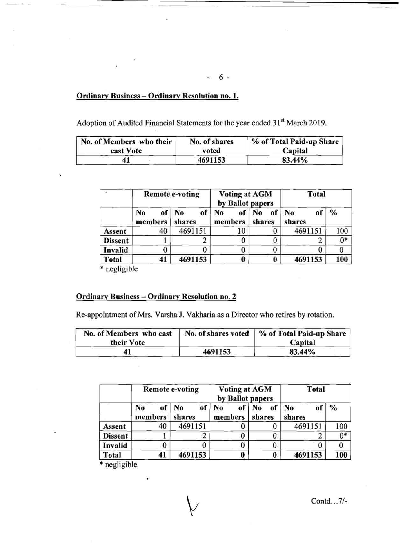Ordinarv Business - Ordinarv Resolution no. **1.** 

Adoption of Audited Financial Statements for the year ended 31<sup>st</sup> March 2019.

| No. of Members who their | No. of shares | % of Total Paid-up Share |  |
|--------------------------|---------------|--------------------------|--|
| cast Vote                | voted         | Capital                  |  |
| 41                       | 4691153       | 83.44%                   |  |

|                | <b>Remote e-voting</b> |                    | <b>Voting at AGM</b><br>by Ballot papers |              | Total                          |               |
|----------------|------------------------|--------------------|------------------------------------------|--------------|--------------------------------|---------------|
|                | No<br>of<br>members    | No<br>of<br>shares | of<br>No<br>members                      | of<br>shares | N <sub>0</sub><br>O)<br>shares | $\frac{0}{0}$ |
| Assent         | 40                     | 4691151            | 10                                       |              | 4691151                        | 100           |
| <b>Dissent</b> |                        |                    |                                          |              |                                | $0*$          |
| Invalid        |                        |                    | U                                        | 0            |                                |               |
| <b>Total</b>   | 41                     | 4691153            | 0                                        | U            | 4691153                        | 100           |

\* negligible

## Ordinary Business - Ordinary Resolution no. 2

Re-appointment of Mrs. Varsha J. Vakharia as a Director who retires by rotation.

| No. of Members who cast<br>their Vote |         | No. of shares voted   % of Total Paid-up Share<br>Capital |  |
|---------------------------------------|---------|-----------------------------------------------------------|--|
|                                       | 4691153 | 83.44%                                                    |  |

|                | <b>Remote e-voting</b> |                       | <b>Voting at AGM</b><br>by Ballot papers |                                | <b>Total</b>                   |               |
|----------------|------------------------|-----------------------|------------------------------------------|--------------------------------|--------------------------------|---------------|
|                | No<br>members          | of<br>of No<br>shares | No<br>of <sup>1</sup><br>members         | N <sub>0</sub><br>of<br>shares | N <sub>0</sub><br>oî<br>shares | $\frac{9}{6}$ |
| Assent         | 40                     | 4691151               |                                          |                                | 4691151                        | 100           |
| <b>Dissent</b> |                        |                       |                                          |                                |                                | $0*$          |
| Invalid        |                        |                       |                                          |                                |                                |               |
| <b>Total</b>   | 41                     | 4691153               |                                          | 0                              | 4691153                        | 100           |

\* negligible

Contd. . .7/-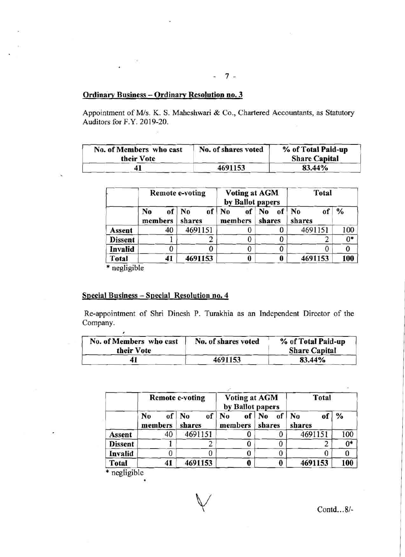## Ordinary Business - Ordinary Resolution no. 3

Appointment of M/s. K. S. Maheshwari & Co., Chartered Accountants, as Statutory Auditors for F.Y. 2019-20.

| No. of Members who cast<br>their Vote | No. of shares voted | % of Total Paid-up<br><b>Share Capital</b> |
|---------------------------------------|---------------------|--------------------------------------------|
|                                       | 4691153             | 83.44%                                     |

| ×                                                                                                                                                                                                                            |  |
|------------------------------------------------------------------------------------------------------------------------------------------------------------------------------------------------------------------------------|--|
| The Corporation                                                                                                                                                                                                              |  |
| ' e-                                                                                                                                                                                                                         |  |
| $-7 -$                                                                                                                                                                                                                       |  |
| ary Business - Ordinary Resolution no. 3                                                                                                                                                                                     |  |
| ntment of M/s. K. S. Maheshwari & Co., Chartered Accountants, as Statutory<br>rs for F.Y. 2019-20.                                                                                                                           |  |
|                                                                                                                                                                                                                              |  |
| % of Total Paid-up<br>of Members who cast<br>No. of shares voted<br><b>Share Capital</b><br>their Vote                                                                                                                       |  |
| 4691153<br>83.44%<br>41                                                                                                                                                                                                      |  |
| Voting at AGM<br><b>Remote e-voting</b><br><b>Total</b>                                                                                                                                                                      |  |
| by Ballot papers<br>of No of No of No<br>of $%$<br>of $\log$<br>No                                                                                                                                                           |  |
| members shares<br>shares<br>shares<br>members<br>100<br>40<br>4691151<br>4691151<br>$\bf{0}$<br>$\bf{0}$<br>Assent                                                                                                           |  |
| $0^*$<br>$\mathbf{0}$<br>$\bf{0}$<br>$\overline{2}$<br>$\mathbf{1}$<br>$\overline{2}$<br><b>Dissent</b><br>$\overline{0}$<br>$\overline{0}$<br>$\overline{0}$<br>$\overline{0}$<br>$\overline{0}$<br>$\mathbf{0}$<br>Invalid |  |
| $\overline{\mathbf{0}}$<br>$\overline{\mathbf{0}}$<br>41<br>4691153<br>4691153<br>Total<br>100<br>* negligible                                                                                                               |  |
|                                                                                                                                                                                                                              |  |
| <u> I Business – Special Resolution no. 4</u>                                                                                                                                                                                |  |
| pointment of Shri Dinesh P. Turakhia as an Independent Director of the<br>ny.                                                                                                                                                |  |
| No. of shares voted<br>% of Total Paid-up<br>of Members who cast                                                                                                                                                             |  |

# Special Business - Special Resolution no. 4

Re-appointment of Shri Dinesh P. Turakhia as an Independent Director of the Company.

| No. of Members who cast<br>their Vote | No. of shares voted | % of Total Paid-up<br><b>Share Capital</b> |  |
|---------------------------------------|---------------------|--------------------------------------------|--|
|                                       | 4691153             | 83.44%                                     |  |

|                | <b>Remote e-voting</b> |                         | <b>Voting at AGM</b><br>by Ballot papers |                                      | Total        |               |
|----------------|------------------------|-------------------------|------------------------------------------|--------------------------------------|--------------|---------------|
|                | No<br>members          | of No<br>of  <br>shares | No<br>members                            | of <sub>1</sub><br>of   No<br>shares | No<br>shares | $\frac{0}{0}$ |
| Assent         | 40                     | 4691151                 |                                          | 0                                    | 4691151      | 100           |
| <b>Dissent</b> |                        |                         |                                          | 0                                    |              | $0*$          |
| Invalid        |                        |                         |                                          | 0                                    |              |               |
| Total          | 41                     | 4691153                 |                                          | 0                                    | 4691153      | 100           |